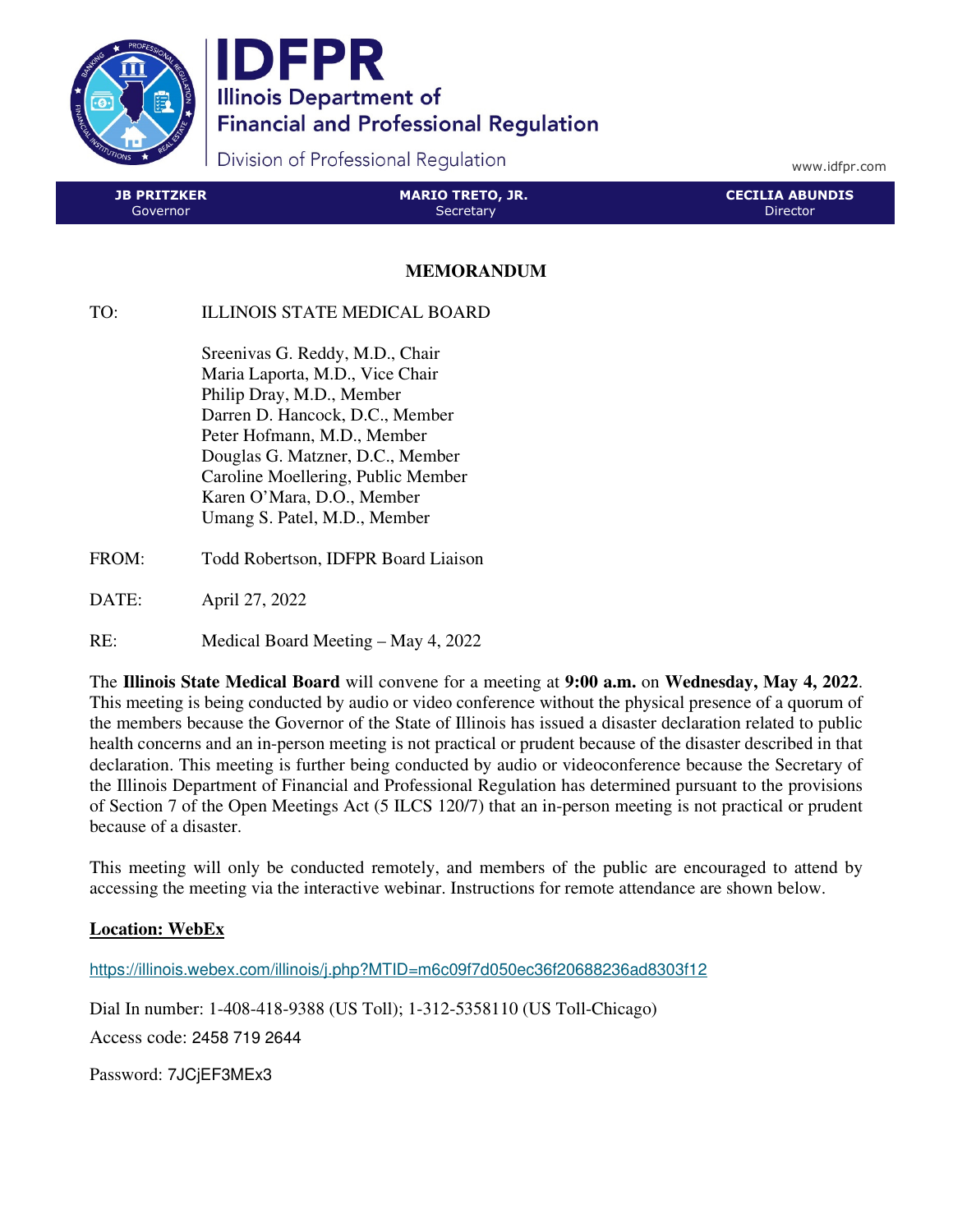

IDFPR **Illinois Department of Financial and Professional Regulation** 

Division of Professional Regulation

www.idfpr.com

| JB PRITZKER ' | MARIO TRETO, JR. | LCECILIA ABUNDIS ' |
|---------------|------------------|--------------------|
| Governor      | 'Secretary       | Director           |

## **MEMORANDUM**

## TO: ILLINOIS STATE MEDICAL BOARD

 Sreenivas G. Reddy, M.D., Chair Maria Laporta, M.D., Vice Chair Philip Dray, M.D., Member Darren D. Hancock, D.C., Member Peter Hofmann, M.D., Member Douglas G. Matzner, D.C., Member Caroline Moellering, Public Member Karen O'Mara, D.O., Member Umang S. Patel, M.D., Member

- FROM: Todd Robertson, IDFPR Board Liaison
- DATE: April 27, 2022
- RE: Medical Board Meeting May 4, 2022

The **Illinois State Medical Board** will convene for a meeting at **9:00 a.m.** on **Wednesday, May 4, 2022**. This meeting is being conducted by audio or video conference without the physical presence of a quorum of the members because the Governor of the State of Illinois has issued a disaster declaration related to public health concerns and an in-person meeting is not practical or prudent because of the disaster described in that declaration. This meeting is further being conducted by audio or videoconference because the Secretary of the Illinois Department of Financial and Professional Regulation has determined pursuant to the provisions of Section 7 of the Open Meetings Act (5 ILCS 120/7) that an in-person meeting is not practical or prudent because of a disaster.

This meeting will only be conducted remotely, and members of the public are encouraged to attend by accessing the meeting via the interactive webinar. Instructions for remote attendance are shown below.

## **Location: WebEx**

https://illinois.webex.com/illinois/j.php?MTID=m6c09f7d050ec36f20688236ad8303f12

Dial In number: 1-408-418-9388 (US Toll); 1-312-5358110 (US Toll-Chicago)

Access code: 2458 719 2644

Password: 7JCjEF3MEx3